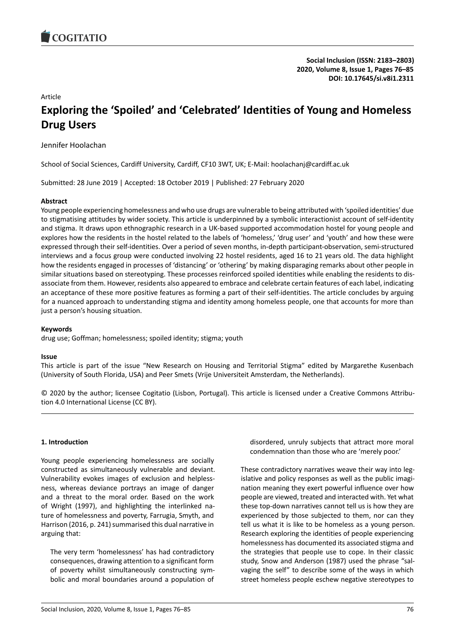# Article **Exploring the 'Spoiled' and 'Celebrated' Identities of Young and Homeless Drug Users**

Jennifer Hoolachan

School of Social Sciences, Cardiff University, Cardiff, CF10 3WT, UK; E-Mail: hoolachanj@cardiff.ac.uk

Submitted: 28 June 2019 | Accepted: 18 October 2019 | Published: 27 February 2020

## **Abstract**

Young people experiencing homelessness and who use drugs are vulnerable to being attributed with 'spoiled identities' due to stigmatising attitudes by wider society. This article is underpinned by a symbolic interactionist account of self-identity and stigma. It draws upon ethnographic research in a UK-based supported accommodation hostel for young people and explores how the residents in the hostel related to the labels of 'homeless,' 'drug user' and 'youth' and how these were expressed through their self-identities. Over a period of seven months, in-depth participant-observation, semi-structured interviews and a focus group were conducted involving 22 hostel residents, aged 16 to 21 years old. The data highlight how the residents engaged in processes of 'distancing' or 'othering' by making disparaging remarks about other people in similar situations based on stereotyping. These processes reinforced spoiled identities while enabling the residents to disassociate from them. However, residents also appeared to embrace and celebrate certain features of each label, indicating an acceptance of these more positive features as forming a part of their self-identities. The article concludes by arguing for a nuanced approach to understanding stigma and identity among homeless people, one that accounts for more than just a person's housing situation.

## **Keywords**

drug use; Goffman; homelessness; spoiled identity; stigma; youth

### **Issue**

This article is part of the issue "New Research on Housing and Territorial Stigma" edited by Margarethe Kusenbach (University of South Florida, USA) and Peer Smets (Vrije Universiteit Amsterdam, the Netherlands).

© 2020 by the author; licensee Cogitatio (Lisbon, Portugal). This article is licensed under a Creative Commons Attribution 4.0 International License (CC BY).

# **1. Introduction**

Young people experiencing homelessness are socially constructed as simultaneously vulnerable and deviant. Vulnerability evokes images of exclusion and helplessness, whereas deviance portrays an image of danger and a threat to the moral order. Based on the work of Wright (1997), and highlighting the interlinked nature of homelessness and poverty, Farrugia, Smyth, and Harrison (2016, p. 241) summarised this dual narrative in arguing that:

The very term 'homelessness' has had contradictory consequences, drawing attention to a significant form of poverty whilst simultaneously constructing symbolic and moral boundaries around a population of disordered, unruly subjects that attract more moral condemnation than those who are 'merely poor.'

These contradictory narratives weave their way into legislative and policy responses as well as the public imagination meaning they exert powerful influence over how people are viewed, treated and interacted with. Yet what these top-down narratives cannot tell us is how they are experienced by those subjected to them, nor can they tell us what it is like to be homeless as a young person. Research exploring the identities of people experiencing homelessness has documented its associated stigma and the strategies that people use to cope. In their classic study, Snow and Anderson (1987) used the phrase "salvaging the self" to describe some of the ways in which street homeless people eschew negative stereotypes to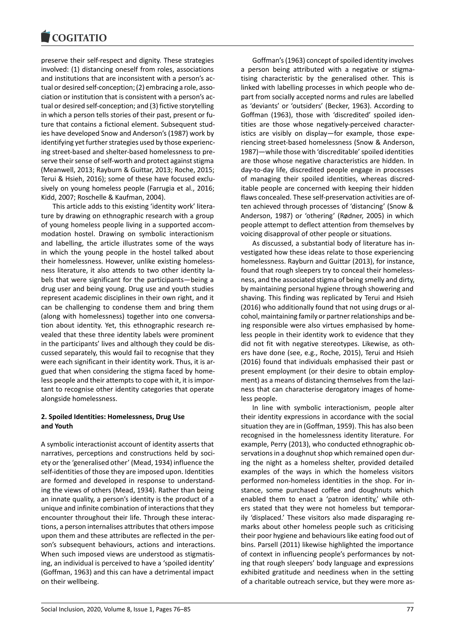preserve their self-respect and dignity. These strategies involved: (1) distancing oneself from roles, associations and institutions that are inconsistent with a person's actual or desired self-conception; (2) embracing a role, association or institution that is consistent with a person's actual or desired self-conception; and (3) fictive storytelling in which a person tells stories of their past, present or future that contains a fictional element. Subsequent studies have developed Snow and Anderson's (1987) work by identifying yet further strategies used by those experiencing street-based and shelter-based homelessness to preserve their sense of self-worth and protect against stigma (Meanwell, 2013; Rayburn & Guittar, 2013; Roche, 2015; Terui & Hsieh, 2016); some of these have focused exclusively on young homeless people (Farrugia et al., 2016; Kidd, 2007; Roschelle & Kaufman, 2004).

This article adds to this existing 'identity work' literature by drawing on ethnographic research with a group of young homeless people living in a supported accommodation hostel. Drawing on symbolic interactionism and labelling, the article illustrates some of the ways in which the young people in the hostel talked about their homelessness. However, unlike existing homelessness literature, it also attends to two other identity labels that were significant for the participants—being a drug user and being young. Drug use and youth studies represent academic disciplines in their own right, and it can be challenging to condense them and bring them (along with homelessness) together into one conversation about identity. Yet, this ethnographic research revealed that these three identity labels were prominent in the participants' lives and although they could be discussed separately, this would fail to recognise that they were each significant in their identity work. Thus, it is argued that when considering the stigma faced by homeless people and their attempts to cope with it, it is important to recognise other identity categories that operate alongside homelessness.

## **2. Spoiled Identities: Homelessness, Drug Use and Youth**

A symbolic interactionist account of identity asserts that narratives, perceptions and constructions held by society or the 'generalised other' (Mead, 1934) influence the self-identities of those they are imposed upon. Identities are formed and developed in response to understanding the views of others (Mead, 1934). Rather than being an innate quality, a person's identity is the product of a unique and infinite combination of interactions that they encounter throughout their life. Through these interactions, a person internalises attributes that others impose upon them and these attributes are reflected in the person's subsequent behaviours, actions and interactions. When such imposed views are understood as stigmatising, an individual is perceived to have a 'spoiled identity' (Goffman, 1963) and this can have a detrimental impact on their wellbeing.

Goffman's (1963) concept of spoiled identity involves a person being attributed with a negative or stigmatising characteristic by the generalised other. This is linked with labelling processes in which people who depart from socially accepted norms and rules are labelled as 'deviants' or 'outsiders' (Becker, 1963). According to Goffman (1963), those with 'discredited' spoiled identities are those whose negatively-perceived characteristics are visibly on display—for example, those experiencing street-based homelessness (Snow & Anderson, 1987)—while those with 'discreditable' spoiled identities are those whose negative characteristics are hidden. In day-to-day life, discredited people engage in processes of managing their spoiled identities, whereas discreditable people are concerned with keeping their hidden flaws concealed. These self-preservation activities are often achieved through processes of 'distancing' (Snow & Anderson, 1987) or 'othering' (Rødner, 2005) in which people attempt to deflect attention from themselves by voicing disapproval of other people or situations.

As discussed, a substantial body of literature has investigated how these ideas relate to those experiencing homelessness. Rayburn and Guittar (2013), for instance, found that rough sleepers try to conceal their homelessness, and the associated stigma of being smelly and dirty, by maintaining personal hygiene through showering and shaving. This finding was replicated by Terui and Hsieh (2016) who additionally found that not using drugs or alcohol, maintaining family or partner relationships and being responsible were also virtues emphasised by homeless people in their identity work to evidence that they did not fit with negative stereotypes. Likewise, as others have done (see, e.g., Roche, 2015), Terui and Hsieh (2016) found that individuals emphasised their past or present employment (or their desire to obtain employment) as a means of distancing themselves from the laziness that can characterise derogatory images of homeless people.

In line with symbolic interactionism, people alter their identity expressions in accordance with the social situation they are in (Goffman, 1959). This has also been recognised in the homelessness identity literature. For example, Perry (2013), who conducted ethnographic observations in a doughnut shop which remained open during the night as a homeless shelter, provided detailed examples of the ways in which the homeless visitors performed non-homeless identities in the shop. For instance, some purchased coffee and doughnuts which enabled them to enact a 'patron identity,' while others stated that they were not homeless but temporarily 'displaced.' These visitors also made disparaging remarks about other homeless people such as criticising their poor hygiene and behaviours like eating food out of bins. Parsell (2011) likewise highlighted the importance of context in influencing people's performances by noting that rough sleepers' body language and expressions exhibited gratitude and neediness when in the setting of a charitable outreach service, but they were more as-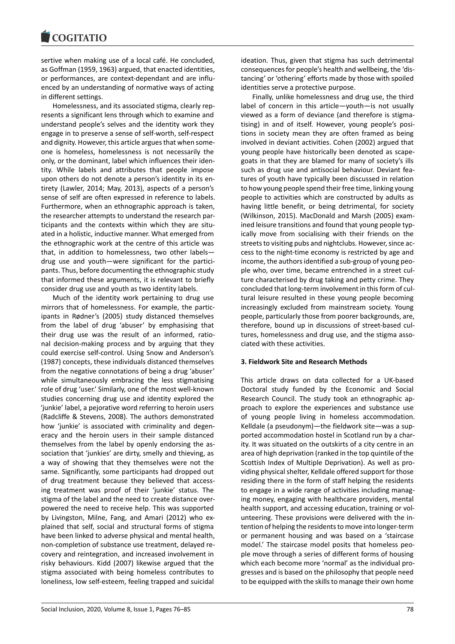sertive when making use of a local café. He concluded, as Goffman (1959, 1963) argued, that enacted identities, or performances, are context-dependant and are influenced by an understanding of normative ways of acting in different settings.

Homelessness, and its associated stigma, clearly represents a significant lens through which to examine and understand people's selves and the identity work they engage in to preserve a sense of self-worth, self-respect and dignity. However, this article argues that when someone is homeless, homelessness is not necessarily the only, or the dominant, label which influences their identity. While labels and attributes that people impose upon others do not denote a person's identity in its entirety (Lawler, 2014; May, 2013), aspects of a person's sense of self are often expressed in reference to labels. Furthermore, when an ethnographic approach is taken, the researcher attempts to understand the research participants and the contexts within which they are situated in a holistic, inductive manner. What emerged from the ethnographic work at the centre of this article was that, in addition to homelessness, two other labels drug use and youth—were significant for the participants. Thus, before documenting the ethnographic study that informed these arguments, it is relevant to briefly consider drug use and youth as two identity labels.

Much of the identity work pertaining to drug use mirrors that of homelessness. For example, the participants in Rødner's (2005) study distanced themselves from the label of drug 'abuser' by emphasising that their drug use was the result of an informed, rational decision-making process and by arguing that they could exercise self-control. Using Snow and Anderson's (1987) concepts, these individuals distanced themselves from the negative connotations of being a drug 'abuser' while simultaneously embracing the less stigmatising role of drug 'user.' Similarly, one of the most well-known studies concerning drug use and identity explored the 'junkie' label, a pejorative word referring to heroin users (Radcliffe & Stevens, 2008). The authors demonstrated how 'junkie' is associated with criminality and degeneracy and the heroin users in their sample distanced themselves from the label by openly endorsing the association that 'junkies' are dirty, smelly and thieving, as a way of showing that they themselves were not the same. Significantly, some participants had dropped out of drug treatment because they believed that accessing treatment was proof of their 'junkie' status. The stigma of the label and the need to create distance overpowered the need to receive help. This was supported by Livingston, Milne, Fang, and Amari (2012) who explained that self, social and structural forms of stigma have been linked to adverse physical and mental health, non-completion of substance use treatment, delayed recovery and reintegration, and increased involvement in risky behaviours. Kidd (2007) likewise argued that the stigma associated with being homeless contributes to loneliness, low self-esteem, feeling trapped and suicidal ideation. Thus, given that stigma has such detrimental consequences for people's health and wellbeing, the 'distancing' or 'othering' efforts made by those with spoiled identities serve a protective purpose.

Finally, unlike homelessness and drug use, the third label of concern in this article—youth—is not usually viewed as a form of deviance (and therefore is stigmatising) in and of itself. However, young people's positions in society mean they are often framed as being involved in deviant activities. Cohen (2002) argued that young people have historically been denoted as scapegoats in that they are blamed for many of society's ills such as drug use and antisocial behaviour. Deviant features of youth have typically been discussed in relation to how young people spend their free time, linking young people to activities which are constructed by adults as having little benefit, or being detrimental, for society (Wilkinson, 2015). MacDonald and Marsh (2005) examined leisure transitions and found that young people typically move from socialising with their friends on the streets to visiting pubs and nightclubs. However, since access to the night-time economy is restricted by age and income, the authors identified a sub-group of young people who, over time, became entrenched in a street culture characterised by drug taking and petty crime. They concluded that long-term involvement in this form of cultural leisure resulted in these young people becoming increasingly excluded from mainstream society. Young people, particularly those from poorer backgrounds, are, therefore, bound up in discussions of street-based cultures, homelessness and drug use, and the stigma associated with these activities.

# **3. Fieldwork Site and Research Methods**

This article draws on data collected for a UK-based Doctoral study funded by the Economic and Social Research Council. The study took an ethnographic approach to explore the experiences and substance use of young people living in homeless accommodation. Kelldale (a pseudonym)—the fieldwork site—was a supported accommodation hostel in Scotland run by a charity. It was situated on the outskirts of a city centre in an area of high deprivation (ranked in the top quintile of the Scottish Index of Multiple Deprivation). As well as providing physical shelter, Kelldale offered support for those residing there in the form of staff helping the residents to engage in a wide range of activities including managing money, engaging with healthcare providers, mental health support, and accessing education, training or volunteering. These provisions were delivered with the intention of helping the residents to move into longer-term or permanent housing and was based on a 'staircase model.' The staircase model posits that homeless people move through a series of different forms of housing which each become more 'normal' as the individual progresses and is based on the philosophy that people need to be equipped with the skills to manage their own home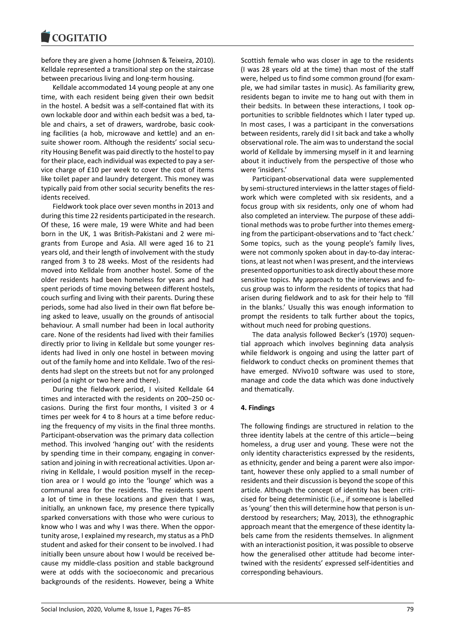before they are given a home (Johnsen & Teixeira, 2010). Kelldale represented a transitional step on the staircase between precarious living and long-term housing.

Kelldale accommodated 14 young people at any one time, with each resident being given their own bedsit in the hostel. A bedsit was a self-contained flat with its own lockable door and within each bedsit was a bed, table and chairs, a set of drawers, wardrobe, basic cooking facilities (a hob, microwave and kettle) and an ensuite shower room. Although the residents' social security Housing Benefit was paid directly to the hostel to pay for their place, each individual was expected to pay a service charge of £10 per week to cover the cost of items like toilet paper and laundry detergent. This money was typically paid from other social security benefits the residents received.

Fieldwork took place over seven months in 2013 and during this time 22 residents participated in the research. Of these, 16 were male, 19 were White and had been born in the UK, 1 was British-Pakistani and 2 were migrants from Europe and Asia. All were aged 16 to 21 years old, and their length of involvement with the study ranged from 3 to 28 weeks. Most of the residents had moved into Kelldale from another hostel. Some of the older residents had been homeless for years and had spent periods of time moving between different hostels, couch surfing and living with their parents. During these periods, some had also lived in their own flat before being asked to leave, usually on the grounds of antisocial behaviour. A small number had been in local authority care. None of the residents had lived with their families directly prior to living in Kelldale but some younger residents had lived in only one hostel in between moving out of the family home and into Kelldale. Two of the residents had slept on the streets but not for any prolonged period (a night or two here and there).

During the fieldwork period, I visited Kelldale 64 times and interacted with the residents on 200–250 occasions. During the first four months, I visited 3 or 4 times per week for 4 to 8 hours at a time before reducing the frequency of my visits in the final three months. Participant-observation was the primary data collection method. This involved 'hanging out' with the residents by spending time in their company, engaging in conversation and joining in with recreational activities. Upon arriving in Kelldale, I would position myself in the reception area or I would go into the 'lounge' which was a communal area for the residents. The residents spent a lot of time in these locations and given that I was, initially, an unknown face, my presence there typically sparked conversations with those who were curious to know who I was and why I was there. When the opportunity arose, I explained my research, my status as a PhD student and asked for their consent to be involved. I had initially been unsure about how I would be received because my middle-class position and stable background were at odds with the socioeconomic and precarious backgrounds of the residents. However, being a White

Scottish female who was closer in age to the residents (I was 28 years old at the time) than most of the staff were, helped us to find some common ground (for example, we had similar tastes in music). As familiarity grew, residents began to invite me to hang out with them in their bedsits. In between these interactions, I took opportunities to scribble fieldnotes which I later typed up. In most cases, I was a participant in the conversations between residents, rarely did I sit back and take a wholly observational role. The aim was to understand the social world of Kelldale by immersing myself in it and learning about it inductively from the perspective of those who were 'insiders.'

Participant-observational data were supplemented by semi-structured interviews in the latter stages of fieldwork which were completed with six residents, and a focus group with six residents, only one of whom had also completed an interview. The purpose of these additional methods was to probe further into themes emerging from the participant-observations and to 'fact check.' Some topics, such as the young people's family lives, were not commonly spoken about in day-to-day interactions, at least not when I was present, and the interviews presented opportunities to ask directly about these more sensitive topics. My approach to the interviews and focus group was to inform the residents of topics that had arisen during fieldwork and to ask for their help to 'fill in the blanks.' Usually this was enough information to prompt the residents to talk further about the topics, without much need for probing questions.

The data analysis followed Becker's (1970) sequential approach which involves beginning data analysis while fieldwork is ongoing and using the latter part of fieldwork to conduct checks on prominent themes that have emerged. NVivo10 software was used to store, manage and code the data which was done inductively and thematically.

### **4. Findings**

The following findings are structured in relation to the three identity labels at the centre of this article—being homeless, a drug user and young. These were not the only identity characteristics expressed by the residents, as ethnicity, gender and being a parent were also important, however these only applied to a small number of residents and their discussion is beyond the scope of this article. Although the concept of identity has been criticised for being deterministic (i.e., if someone is labelled as 'young' then this will determine how that person is understood by researchers; May, 2013), the ethnographic approach meant that the emergence of these identity labels came from the residents themselves. In alignment with an interactionist position, it was possible to observe how the generalised other attitude had become intertwined with the residents' expressed self-identities and corresponding behaviours.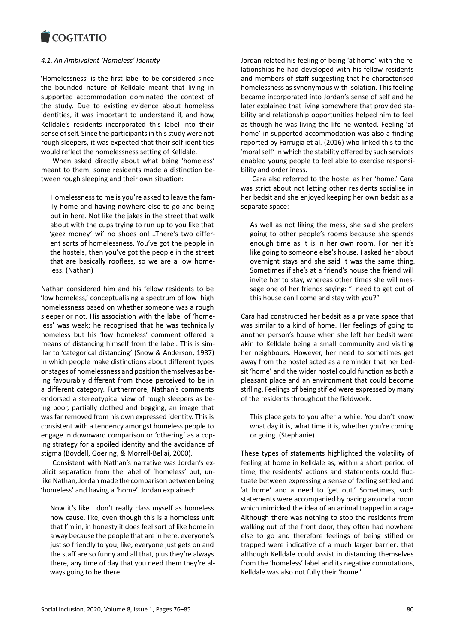# *4.1. An Ambivalent 'Homeless' Identity*

'Homelessness' is the first label to be considered since the bounded nature of Kelldale meant that living in supported accommodation dominated the context of the study. Due to existing evidence about homeless identities, it was important to understand if, and how, Kelldale's residents incorporated this label into their sense of self. Since the participants in this study were not rough sleepers, it was expected that their self-identities would reflect the homelessness setting of Kelldale.

When asked directly about what being 'homeless' meant to them, some residents made a distinction between rough sleeping and their own situation:

Homelessness to me is you're asked to leave the family home and having nowhere else to go and being put in here. Not like the jakes in the street that walk about with the cups trying to run up to you like that 'geez money' wi' no shoes on!...There's two different sorts of homelessness. You've got the people in the hostels, then you've got the people in the street that are basically roofless, so we are a low homeless. (Nathan)

Nathan considered him and his fellow residents to be 'low homeless,' conceptualising a spectrum of low–high homelessness based on whether someone was a rough sleeper or not. His association with the label of 'homeless' was weak; he recognised that he was technically homeless but his 'low homeless' comment offered a means of distancing himself from the label. This is similar to 'categorical distancing' (Snow & Anderson, 1987) in which people make distinctions about different types or stages of homelessness and position themselves as being favourably different from those perceived to be in a different category. Furthermore, Nathan's comments endorsed a stereotypical view of rough sleepers as being poor, partially clothed and begging, an image that was far removed from his own expressed identity. This is consistent with a tendency amongst homeless people to engage in downward comparison or 'othering' as a coping strategy for a spoiled identity and the avoidance of stigma (Boydell, Goering, & Morrell-Bellai, 2000).

Consistent with Nathan's narrative was Jordan's explicit separation from the label of 'homeless' but, unlike Nathan, Jordan made the comparison between being 'homeless' and having a 'home'. Jordan explained:

Now it's like I don't really class myself as homeless now cause, like, even though this is a homeless unit that I'm in, in honesty it does feel sort of like home in a way because the people that are in here, everyone's just so friendly to you, like, everyone just gets on and the staff are so funny and all that, plus they're always there, any time of day that you need them they're always going to be there.

Jordan related his feeling of being 'at home' with the relationships he had developed with his fellow residents and members of staff suggesting that he characterised homelessness as synonymous with isolation. This feeling became incorporated into Jordan's sense of self and he later explained that living somewhere that provided stability and relationship opportunities helped him to feel as though he was living the life he wanted. Feeling 'at home' in supported accommodation was also a finding reported by Farrugia et al. (2016) who linked this to the 'moral self' in which the stability offered by such services enabled young people to feel able to exercise responsibility and orderliness.

Cara also referred to the hostel as her 'home.' Cara was strict about not letting other residents socialise in her bedsit and she enjoyed keeping her own bedsit as a separate space:

As well as not liking the mess, she said she prefers going to other people's rooms because she spends enough time as it is in her own room. For her it's like going to someone else's house. I asked her about overnight stays and she said it was the same thing. Sometimes if she's at a friend's house the friend will invite her to stay, whereas other times she will message one of her friends saying: "I need to get out of this house can I come and stay with you?"

Cara had constructed her bedsit as a private space that was similar to a kind of home. Her feelings of going to another person's house when she left her bedsit were akin to Kelldale being a small community and visiting her neighbours. However, her need to sometimes get away from the hostel acted as a reminder that her bedsit 'home' and the wider hostel could function as both a pleasant place and an environment that could become stifling. Feelings of being stifled were expressed by many of the residents throughout the fieldwork:

This place gets to you after a while. You don't know what day it is, what time it is, whether you're coming or going. (Stephanie)

These types of statements highlighted the volatility of feeling at home in Kelldale as, within a short period of time, the residents' actions and statements could fluctuate between expressing a sense of feeling settled and 'at home' and a need to 'get out.' Sometimes, such statements were accompanied by pacing around a room which mimicked the idea of an animal trapped in a cage. Although there was nothing to stop the residents from walking out of the front door, they often had nowhere else to go and therefore feelings of being stifled or trapped were indicative of a much larger barrier: that although Kelldale could assist in distancing themselves from the 'homeless' label and its negative connotations, Kelldale was also not fully their 'home.'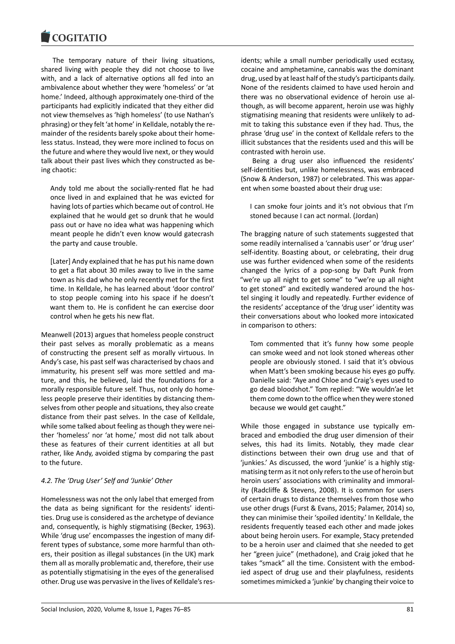The temporary nature of their living situations, shared living with people they did not choose to live with, and a lack of alternative options all fed into an ambivalence about whether they were 'homeless' or 'at home.' Indeed, although approximately one-third of the participants had explicitly indicated that they either did not view themselves as 'high homeless' (to use Nathan's phrasing) or they felt 'at home' in Kelldale, notably the remainder of the residents barely spoke about their homeless status. Instead, they were more inclined to focus on the future and where they would live next, or they would talk about their past lives which they constructed as being chaotic:

Andy told me about the socially-rented flat he had once lived in and explained that he was evicted for having lots of parties which became out of control. He explained that he would get so drunk that he would pass out or have no idea what was happening which meant people he didn't even know would gatecrash the party and cause trouble.

[Later] Andy explained that he has put his name down to get a flat about 30 miles away to live in the same town as his dad who he only recently met for the first time. In Kelldale, he has learned about 'door control' to stop people coming into his space if he doesn't want them to. He is confident he can exercise door control when he gets his new flat.

Meanwell (2013) argues that homeless people construct their past selves as morally problematic as a means of constructing the present self as morally virtuous. In Andy's case, his past self was characterised by chaos and immaturity, his present self was more settled and mature, and this, he believed, laid the foundations for a morally responsible future self. Thus, not only do homeless people preserve their identities by distancing themselves from other people and situations, they also create distance from their past selves. In the case of Kelldale, while some talked about feeling as though they were neither 'homeless' nor 'at home,' most did not talk about these as features of their current identities at all but rather, like Andy, avoided stigma by comparing the past to the future.

# *4.2. The 'Drug User' Self and 'Junkie' Other*

Homelessness was not the only label that emerged from the data as being significant for the residents' identities. Drug use is considered as the archetype of deviance and, consequently, is highly stigmatising (Becker, 1963). While 'drug use' encompasses the ingestion of many different types of substance, some more harmful than others, their position as illegal substances (in the UK) mark them all as morally problematic and, therefore, their use as potentially stigmatising in the eyes of the generalised other. Drug use was pervasive in the lives of Kelldale's residents; while a small number periodically used ecstasy, cocaine and amphetamine, cannabis was the dominant drug, used by at least half of the study's participants daily. None of the residents claimed to have used heroin and there was no observational evidence of heroin use although, as will become apparent, heroin use was highly stigmatising meaning that residents were unlikely to admit to taking this substance even if they had. Thus, the phrase 'drug use' in the context of Kelldale refers to the illicit substances that the residents used and this will be contrasted with heroin use.

Being a drug user also influenced the residents' self-identities but, unlike homelessness, was embraced (Snow & Anderson, 1987) or celebrated. This was apparent when some boasted about their drug use:

I can smoke four joints and it's not obvious that I'm stoned because I can act normal. (Jordan)

The bragging nature of such statements suggested that some readily internalised a 'cannabis user' or 'drug user' self-identity. Boasting about, or celebrating, their drug use was further evidenced when some of the residents changed the lyrics of a pop-song by Daft Punk from "we're up all night to get some" to "we're up all night to get stoned" and excitedly wandered around the hostel singing it loudly and repeatedly. Further evidence of the residents' acceptance of the 'drug user' identity was their conversations about who looked more intoxicated in comparison to others:

Tom commented that it's funny how some people can smoke weed and not look stoned whereas other people are obviously stoned. I said that it's obvious when Matt's been smoking because his eyes go puffy. Danielle said: "Aye and Chloe and Craig's eyes used to go dead bloodshot." Tom replied: "We wouldn'ae let them come down to the office when they were stoned because we would get caught."

While those engaged in substance use typically embraced and embodied the drug user dimension of their selves, this had its limits. Notably, they made clear distinctions between their own drug use and that of 'junkies.' As discussed, the word 'junkie' is a highly stigmatising term as it not only refers to the use of heroin but heroin users' associations with criminality and immorality (Radcliffe & Stevens, 2008). It is common for users of certain drugs to distance themselves from those who use other drugs (Furst & Evans, 2015; Palamer, 2014) so, they can minimise their 'spoiled identity.' In Kelldale, the residents frequently teased each other and made jokes about being heroin users. For example, Stacy pretended to be a heroin user and claimed that she needed to get her "green juice" (methadone), and Craig joked that he takes "smack" all the time. Consistent with the embodied aspect of drug use and their playfulness, residents sometimes mimicked a 'junkie' by changing their voice to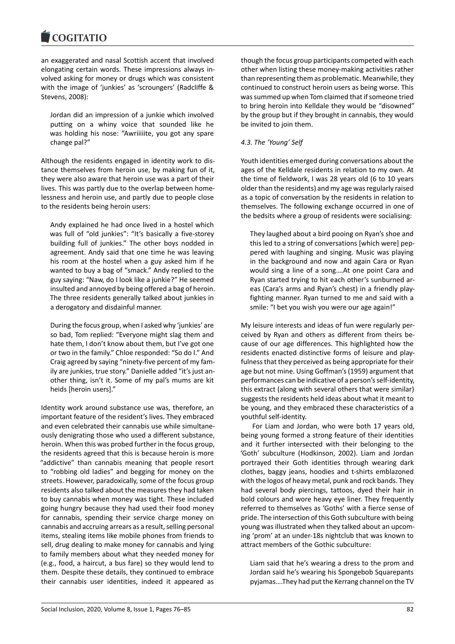an exaggerated and nasal Scottish accent that involved elongating certain words. These impressions always involved asking for money or drugs which was consistent with the image of 'junkies' as 'scroungers' (Radcliffe & Stevens, 2008):

Jordan did an impression of a junkie which involved putting on a whiny voice that sounded like he was holding his nose: "Awriiiiite, you got any spare change pal?"

Although the residents engaged in identity work to distance themselves from heroin use, by making fun of it, they were also aware that heroin use was a part of their lives. This was partly due to the overlap between homelessness and heroin use, and partly due to people close to the residents being heroin users:

Andy explained he had once lived in a hostel which was full of "old junkies": "It's basically a five-storey building full of junkies." The other boys nodded in agreement. Andy said that one time he was leaving his room at the hostel when a guy asked him if he wanted to buy a bag of "smack." Andy replied to the guy saying: "Naw, do I look like a junkie?" He seemed insulted and annoyed by being offered a bag of heroin. The three residents generally talked about junkies in a derogatory and disdainful manner.

During the focus group, when I asked why 'junkies' are so bad, Tom replied: "Everyone might slag them and hate them, I don't know about them, but I've got one or two in the family." Chloe responded: "So do I." And Craig agreed by saying "ninety-five percent of my family are junkies, true story." Danielle added "it's just another thing, isn't it. Some of my pal's mums are kit heids [heroin users]."

Identity work around substance use was, therefore, an important feature of the resident's lives. They embraced and even celebrated their cannabis use while simultaneously denigrating those who used a different substance, heroin. When this was probed further in the focus group, the residents agreed that this is because heroin is more "addictive" than cannabis meaning that people resort to "robbing old ladies" and begging for money on the streets. However, paradoxically, some of the focus group residents also talked about the measures they had taken to buy cannabis when money was tight. These included going hungry because they had used their food money for cannabis, spending their service charge money on cannabis and accruing arrears as a result, selling personal items, stealing items like mobile phones from friends to sell, drug dealing to make money for cannabis and lying to family members about what they needed money for (e.g., food, a haircut, a bus fare) so they would lend to them. Despite these details, they continued to embrace their cannabis user identities, indeed it appeared as

though the focus group participants competed with each other when listing these money-making activities rather than representing them as problematic. Meanwhile, they continued to construct heroin users as being worse. This was summed up when Tom claimed that if someone tried to bring heroin into Kelldale they would be "disowned" by the group but if they brought in cannabis, they would be invited to join them.

# *4.3. The 'Young' Self*

Youth identities emerged during conversations about the ages of the Kelldale residents in relation to my own. At the time of fieldwork, I was 28 years old (6 to 10 years older than the residents) and my age was regularly raised as a topic of conversation by the residents in relation to themselves. The following exchange occurred in one of the bedsits where a group of residents were socialising:

They laughed about a bird pooing on Ryan's shoe and this led to a string of conversations [which were] peppered with laughing and singing. Music was playing in the background and now and again Cara or Ryan would sing a line of a song.…At one point Cara and Ryan started trying to hit each other's sunburned areas (Cara's arms and Ryan's chest) in a friendly playfighting manner. Ryan turned to me and said with a smile: "I bet you wish you were our age again!"

My leisure interests and ideas of fun were regularly perceived by Ryan and others as different from theirs because of our age differences. This highlighted how the residents enacted distinctive forms of leisure and playfulness that they perceived as being appropriate for their age but not mine. Using Goffman's (1959) argument that performances can be indicative of a person's self-identity, this extract (along with several others that were similar) suggests the residents held ideas about what it meant to be young, and they embraced these characteristics of a youthful self-identity.

For Liam and Jordan, who were both 17 years old, being young formed a strong feature of their identities and it further intersected with their belonging to the 'Goth' subculture (Hodkinson, 2002). Liam and Jordan portrayed their Goth identities through wearing dark clothes, baggy jeans, hoodies and t-shirts emblazoned with the logos of heavy metal, punk and rock bands. They had several body piercings, tattoos, dyed their hair in bold colours and wore heavy eye liner. They frequently referred to themselves as 'Goths' with a fierce sense of pride. The intersection of this Goth subculture with being young was illustrated when they talked about an upcoming 'prom' at an under-18s nightclub that was known to attract members of the Gothic subculture:

Liam said that he's wearing a dress to the prom and Jordan said he's wearing his Spongebob Squarepants pyjamas….They had put the Kerrang channel on the TV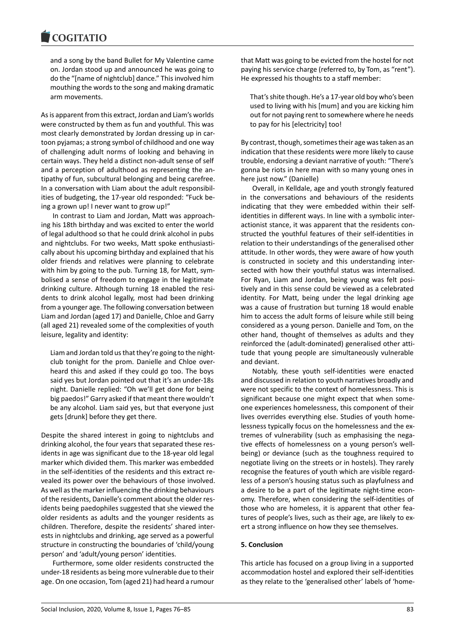and a song by the band Bullet for My Valentine came on. Jordan stood up and announced he was going to do the "[name of nightclub] dance." This involved him mouthing the words to the song and making dramatic arm movements.

As is apparent from this extract, Jordan and Liam's worlds were constructed by them as fun and youthful. This was most clearly demonstrated by Jordan dressing up in cartoon pyjamas; a strong symbol of childhood and one way of challenging adult norms of looking and behaving in certain ways. They held a distinct non-adult sense of self and a perception of adulthood as representing the antipathy of fun, subcultural belonging and being carefree. In a conversation with Liam about the adult responsibilities of budgeting, the 17-year old responded: "Fuck being a grown up! I never want to grow up!"

In contrast to Liam and Jordan, Matt was approaching his 18th birthday and was excited to enter the world of legal adulthood so that he could drink alcohol in pubs and nightclubs. For two weeks, Matt spoke enthusiastically about his upcoming birthday and explained that his older friends and relatives were planning to celebrate with him by going to the pub. Turning 18, for Matt, symbolised a sense of freedom to engage in the legitimate drinking culture. Although turning 18 enabled the residents to drink alcohol legally, most had been drinking from a younger age. The following conversation between Liam and Jordan (aged 17) and Danielle, Chloe and Garry (all aged 21) revealed some of the complexities of youth leisure, legality and identity:

Liam and Jordan told us that they're going to the nightclub tonight for the prom. Danielle and Chloe overheard this and asked if they could go too. The boys said yes but Jordan pointed out that it's an under-18s night. Danielle replied: "Oh we'll get done for being big paedos!" Garry asked if that meant there wouldn't be any alcohol. Liam said yes, but that everyone just gets [drunk] before they get there.

Despite the shared interest in going to nightclubs and drinking alcohol, the four years that separated these residents in age was significant due to the 18-year old legal marker which divided them. This marker was embedded in the self-identities of the residents and this extract revealed its power over the behaviours of those involved. As well as the marker influencing the drinking behaviours of the residents, Danielle's comment about the older residents being paedophiles suggested that she viewed the older residents as adults and the younger residents as children. Therefore, despite the residents' shared interests in nightclubs and drinking, age served as a powerful structure in constructing the boundaries of 'child/young person' and 'adult/young person' identities.

Furthermore, some older residents constructed the under-18 residents as being more vulnerable due to their age. On one occasion, Tom (aged 21) had heard a rumour that Matt was going to be evicted from the hostel for not paying his service charge (referred to, by Tom, as "rent"). He expressed his thoughts to a staff member:

That's shite though. He's a 17-year old boy who's been used to living with his [mum] and you are kicking him out for not paying rent to somewhere where he needs to pay for his [electricity] too!

By contrast, though, sometimes their age was taken as an indication that these residents were more likely to cause trouble, endorsing a deviant narrative of youth: "There's gonna be riots in here man with so many young ones in here just now." (Danielle)

Overall, in Kelldale, age and youth strongly featured in the conversations and behaviours of the residents indicating that they were embedded within their selfidentities in different ways. In line with a symbolic interactionist stance, it was apparent that the residents constructed the youthful features of their self-identities in relation to their understandings of the generalised other attitude. In other words, they were aware of how youth is constructed in society and this understanding intersected with how their youthful status was internalised. For Ryan, Liam and Jordan, being young was felt positively and in this sense could be viewed as a celebrated identity. For Matt, being under the legal drinking age was a cause of frustration but turning 18 would enable him to access the adult forms of leisure while still being considered as a young person. Danielle and Tom, on the other hand, thought of themselves as adults and they reinforced the (adult-dominated) generalised other attitude that young people are simultaneously vulnerable and deviant.

Notably, these youth self-identities were enacted and discussed in relation to youth narratives broadly and were not specific to the context of homelessness. This is significant because one might expect that when someone experiences homelessness, this component of their lives overrides everything else. Studies of youth homelessness typically focus on the homelessness and the extremes of vulnerability (such as emphasising the negative effects of homelessness on a young person's wellbeing) or deviance (such as the toughness required to negotiate living on the streets or in hostels). They rarely recognise the features of youth which are visible regardless of a person's housing status such as playfulness and a desire to be a part of the legitimate night-time economy. Therefore, when considering the self-identities of those who are homeless, it is apparent that other features of people's lives, such as their age, are likely to exert a strong influence on how they see themselves.

### **5. Conclusion**

This article has focused on a group living in a supported accommodation hostel and explored their self-identities as they relate to the 'generalised other' labels of 'home-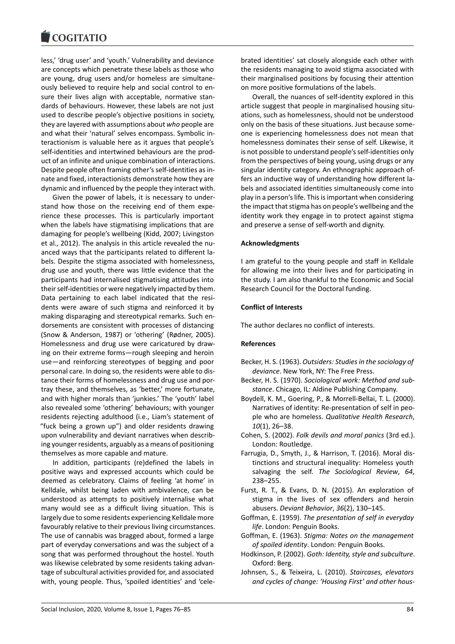less,' 'drug user' and 'youth.' Vulnerability and deviance are concepts which penetrate these labels as those who are young, drug users and/or homeless are simultaneously believed to require help and social control to ensure their lives align with acceptable, normative standards of behaviours. However, these labels are not just used to describe people's objective positions in society, they are layered with assumptions about *who* people are and what their 'natural' selves encompass. Symbolic interactionism is valuable here as it argues that people's self-identities and intertwined behaviours are the product of an infinite and unique combination of interactions. Despite people often framing other's self-identities as innate and fixed, interactionists demonstrate how they are dynamic and influenced by the people they interact with.

Given the power of labels, it is necessary to understand how those on the receiving end of them experience these processes. This is particularly important when the labels have stigmatising implications that are damaging for people's wellbeing (Kidd, 2007; Livingston et al., 2012). The analysis in this article revealed the nuanced ways that the participants related to different labels. Despite the stigma associated with homelessness, drug use and youth, there was little evidence that the participants had internalised stigmatising attitudes into their self-identities or were negatively impacted by them. Data pertaining to each label indicated that the residents were aware of such stigma and reinforced it by making disparaging and stereotypical remarks. Such endorsements are consistent with processes of distancing (Snow & Anderson, 1987) or 'othering' (Rødner, 2005). Homelessness and drug use were caricatured by drawing on their extreme forms—rough sleeping and heroin use—and reinforcing stereotypes of begging and poor personal care. In doing so, the residents were able to distance their forms of homelessness and drug use and portray these, and themselves, as 'better,' more fortunate, and with higher morals than 'junkies.' The 'youth' label also revealed some 'othering' behaviours; with younger residents rejecting adulthood (i.e., Liam's statement of "fuck being a grown up") and older residents drawing upon vulnerability and deviant narratives when describing younger residents, arguably as a means of positioning themselves as more capable and mature.

In addition, participants (re)defined the labels in positive ways and expressed accounts which could be deemed as celebratory. Claims of feeling 'at home' in Kelldale, whilst being laden with ambivalence, can be understood as attempts to positively internalise what many would see as a difficult living situation. This is largely due to some residents experiencing Kelldale more favourably relative to their previous living circumstances. The use of cannabis was bragged about, formed a large part of everyday conversations and was the subject of a song that was performed throughout the hostel. Youth was likewise celebrated by some residents taking advantage of subcultural activities provided for, and associated with, young people. Thus, 'spoiled identities' and 'celebrated identities' sat closely alongside each other with the residents managing to avoid stigma associated with their marginalised positions by focusing their attention on more positive formulations of the labels.

Overall, the nuances of self-identity explored in this article suggest that people in marginalised housing situations, such as homelessness, should not be understood only on the basis of these situations. Just because someone is experiencing homelessness does not mean that homelessness dominates their sense of self. Likewise, it is not possible to understand people's self-identities only from the perspectives of being young, using drugs or any singular identity category. An ethnographic approach offers an inductive way of understanding how different labels and associated identities simultaneously come into play in a person's life. This is important when considering the impact that stigma has on people's wellbeing and the identity work they engage in to protect against stigma and preserve a sense of self-worth and dignity.

## **Acknowledgments**

I am grateful to the young people and staff in Kelldale for allowing me into their lives and for participating in the study. I am also thankful to the Economic and Social Research Council for the Doctoral funding.

## **Conflict of Interests**

The author declares no conflict of interests.

# **References**

- Becker, H. S. (1963). *Outsiders: Studies in the sociology of deviance*. New York, NY: The Free Press.
- Becker, H. S. (1970). *Sociological work: Method and substance*. Chicago, IL: Aldine Publishing Company.
- Boydell, K. M., Goering, P., & Morrell-Bellai, T. L. (2000). Narratives of identity: Re-presentation of self in people who are homeless. *Qualitative Health Research*, *10*(1), 26–38.
- Cohen, S. (2002). *Folk devils and moral panics* (3rd ed.). London: Routledge.
- Farrugia, D., Smyth, J., & Harrison, T. (2016). Moral distinctions and structural inequality: Homeless youth salvaging the self. *The Sociological Review*, *64*, 238–255.
- Furst, R. T., & Evans, D. N. (2015). An exploration of stigma in the lives of sex offenders and heroin abusers. *Deviant Behavior*, *36*(2), 130–145.
- Goffman, E. (1959). *The presentation of self in everyday life*. London: Penguin Books.
- Goffman, E. (1963). *Stigma: Notes on the management of spoiled identity*. London: Penguin Books.
- Hodkinson, P. (2002). *Goth: Identity, style and subculture*. Oxford: Berg.
- Johnsen, S., & Teixeira, L. (2010). *Staircases, elevators and cycles of change: 'Housing First' and other hous-*